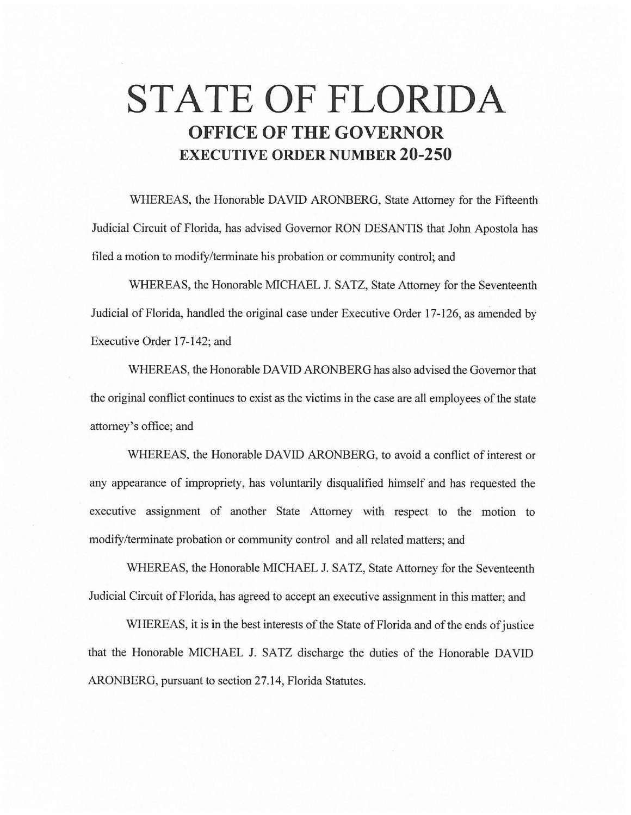# **STATE OF FLORIDA OFFICE OF THE GOVERNOR EXECUTIVE ORDER NUMBER 20-250**

WHEREAS, the Honorable DAVID ARONBERG, State Attorney for the Fifteenth Judicial Circuit of Florida, has advised Governor RON DESANTIS that John Apostola has filed a motion to modify/terminate his probation or community control; and

WHEREAS, the Honorable MICHAEL J. SATZ, State Attorney for the Seventeenth Judicial of Florida, handled the original case under Executive Order 17-126, as amended by Executive Order 17-142; and

WHEREAS, the Honorable DAVID ARONBERG has also advised the Governor that the original conflict continues to exist as the victims in the case are all employees of the state attorney's office; and

WHEREAS, the Honorable DAVID ARONBERG, to avoid a conflict of interest or any appearance of impropriety, has voluntarily disqualified himself and has requested the executive assignment of another State Attorney with respect to the motion to modify/terminate probation or community control and all related matters; and

WHEREAS, the Honorable MICHAEL J. SATZ, State Attorney for the Seventeenth Judicial Circuit of Florida, has agreed to accept an executive assignment in this matter; and

WHEREAS, it is in the best interests of the State of Florida and of the ends of justice that the Honorable MICHAEL J. SATZ discharge the duties of the Honorable DAVID ARONBERG, pursuant to section 27.14, Florida Statutes.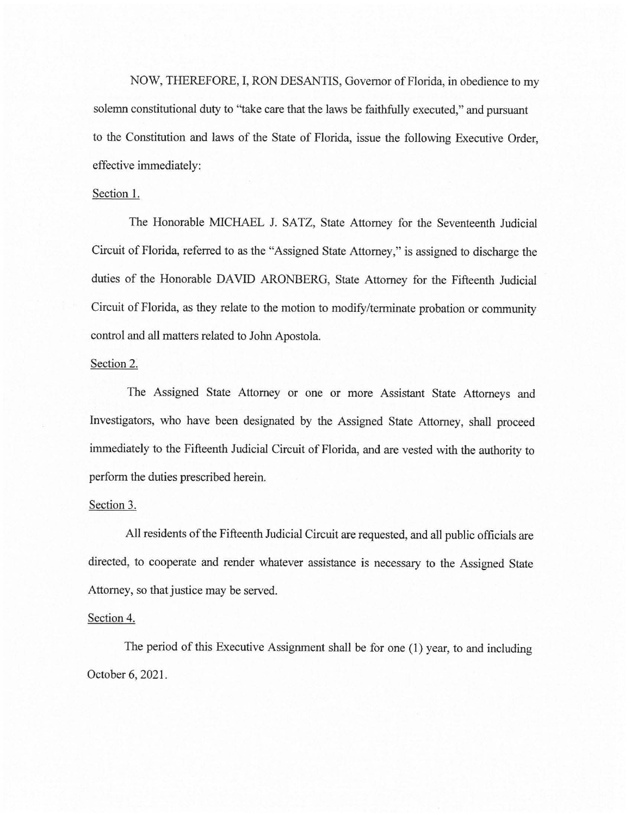NOW, THEREFORE, I, RON DESANTIS, Governor of Florida, in obedience to my solemn constitutional duty to ''take care that the laws be faithfully executed," and pursuant to the Constitution and laws of the State of Florida, issue the following Executive Order, effective immediately:

### Section 1.

The Honorable MICHAEL J. SATZ, State Attorney for the Seventeenth Judicial Circuit of Florida, referred to as the "Assigned State Attorney," is assigned to discharge the duties of the Honorable DAVID ARONBERG, State Attorney for the Fifteenth Judicial Circuit of Florida, as they relate to the motion to modify/terminate probation or community control and all matters related to John Apostola.

## Section 2.

The Assigned State Attorney or one or more Assistant State Attorneys and Investigators, who have been designated by the Assigned State Attorney, shall proceed immediately to the Fifteenth Judicial Circuit of Florida, and are vested with the authority to perform the duties prescribed herein.

## Section 3.

All residents of the Fifteenth Judicial Circuit are requested, and all public officials are directed, to cooperate and render whatever assistance is necessary to the Assigned State Attorney, so that justice may be served.

### Section 4.

The period of this Executive Assignment shall be for one (1) year, to and including October 6, 2021.